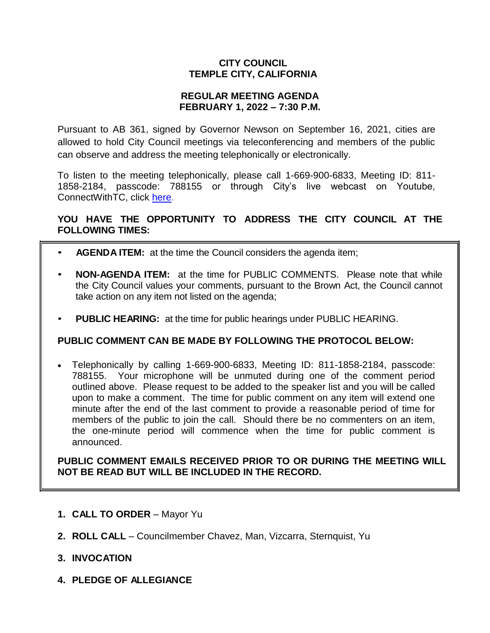# **CITY COUNCIL TEMPLE CITY, CALIFORNIA**

## **REGULAR MEETING AGENDA FEBRUARY 1, 2022 – 7:30 P.M.**

Pursuant to AB 361, signed by Governor Newson on September 16, 2021, cities are allowed to hold City Council meetings via teleconferencing and members of the public can observe and address the meeting telephonically or electronically.

To listen to the meeting telephonically, please call 1-669-900-6833, Meeting ID: 811- 1858-2184, passcode: 788155 or through City's live webcast on Youtube, ConnectWithTC, click [here.](https://www.ci.temple-city.ca.us/516/Meeting-Webcast)

# **YOU HAVE THE OPPORTUNITY TO ADDRESS THE CITY COUNCIL AT THE FOLLOWING TIMES:**

- **AGENDA ITEM:** at the time the Council considers the agenda item;
- **NON-AGENDA ITEM:** at the time for PUBLIC COMMENTS. Please note that while the City Council values your comments, pursuant to the Brown Act, the Council cannot take action on any item not listed on the agenda;
- **PUBLIC HEARING:** at the time for public hearings under PUBLIC HEARING.

## **PUBLIC COMMENT CAN BE MADE BY FOLLOWING THE PROTOCOL BELOW:**

 Telephonically by calling 1-669-900-6833, Meeting ID: 811-1858-2184, passcode: 788155. Your microphone will be unmuted during one of the comment period outlined above. Please request to be added to the speaker list and you will be called upon to make a comment. The time for public comment on any item will extend one minute after the end of the last comment to provide a reasonable period of time for members of the public to join the call. Should there be no commenters on an item, the one-minute period will commence when the time for public comment is announced.

**PUBLIC COMMENT EMAILS RECEIVED PRIOR TO OR DURING THE MEETING WILL NOT BE READ BUT WILL BE INCLUDED IN THE RECORD.**

- **1. CALL TO ORDER**  Mayor Yu
- **2. ROLL CALL**  Councilmember Chavez, Man, Vizcarra, Sternquist, Yu
- **3. INVOCATION**
- **4. PLEDGE OF ALLEGIANCE**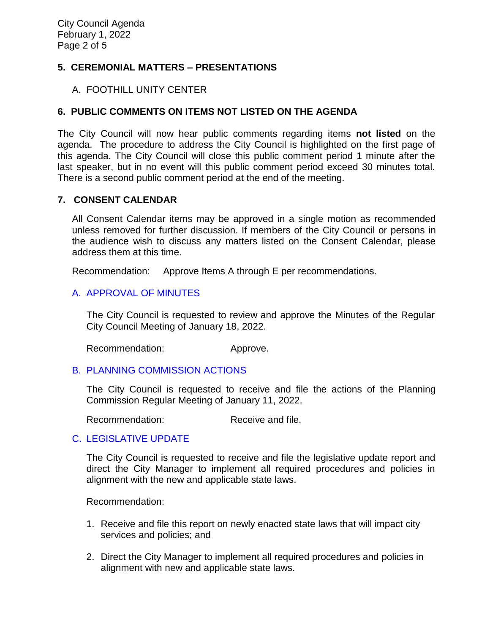# **5. CEREMONIAL MATTERS – PRESENTATIONS**

### A. FOOTHILL UNITY CENTER

## **6. PUBLIC COMMENTS ON ITEMS NOT LISTED ON THE AGENDA**

The City Council will now hear public comments regarding items **not listed** on the agenda. The procedure to address the City Council is highlighted on the first page of this agenda. The City Council will close this public comment period 1 minute after the last speaker, but in no event will this public comment period exceed 30 minutes total. There is a second public comment period at the end of the meeting.

#### **7. CONSENT CALENDAR**

All Consent Calendar items may be approved in a single motion as recommended unless removed for further discussion. If members of the City Council or persons in the audience wish to discuss any matters listed on the Consent Calendar, please address them at this time.

Recommendation: Approve Items A through E per recommendations.

## [A. APPROVAL OF MINUTES](https://www.ci.temple-city.ca.us/DocumentCenter/View/17379/03-7A_CCM---2022-01-18)

The City Council is requested to review and approve the Minutes of the Regular City Council Meeting of January 18, 2022.

Recommendation: Approve.

#### B. [PLANNING COMMISSION ACTIONS](https://www.ci.temple-city.ca.us/DocumentCenter/View/17380/04-7B_PC-Actions---from-2022-1-11)

The City Council is requested to receive and file the actions of the Planning Commission Regular Meeting of January 11, 2022.

Recommendation: Receive and file.

## C. [LEGISLATIVE UPDATE](https://www.ci.temple-city.ca.us/DocumentCenter/View/17389/05-7C_Legislative-Update)

The City Council is requested to receive and file the legislative update report and direct the City Manager to implement all required procedures and policies in alignment with the new and applicable state laws.

Recommendation:

- 1. Receive and file this report on newly enacted state laws that will impact city services and policies; and
- 2. Direct the City Manager to implement all required procedures and policies in alignment with new and applicable state laws.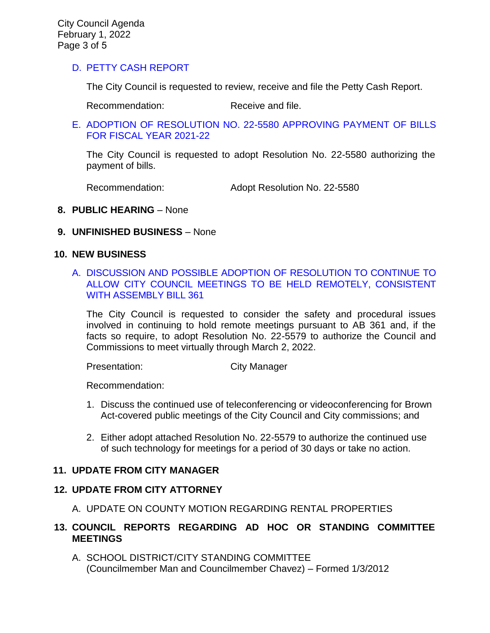# [D. PETTY CASH REPORT](https://www.ci.temple-city.ca.us/DocumentCenter/View/17374/05-7C_Petty-Cash-Report)

The City Council is requested to review, receive and file the Petty Cash Report.

Recommendation: Receive and file.

## [E. ADOPTION OF RESOLUTION NO. 22-5580 APPROVING PAYMENT OF BILLS](https://www.ci.temple-city.ca.us/DocumentCenter/View/17375/06-7D_Reso-No-22-5580-20122---Warrants--Demands-FY-2021-2022) [FOR FISCAL YEAR 2021-22](https://www.ci.temple-city.ca.us/DocumentCenter/View/17375/06-7D_Reso-No-22-5580-20122---Warrants--Demands-FY-2021-2022)

The City Council is requested to adopt Resolution No. 22-5580 authorizing the payment of bills.

Recommendation: Adopt Resolution No. 22-5580

### **8. PUBLIC HEARING** – None

### **9. UNFINISHED BUSINESS** – None

#### **10. NEW BUSINESS**

## A. [DISCUSSION AND POSSIBLE ADOPTION OF RESOLUTION TO CONTINUE TO](https://www.ci.temple-city.ca.us/DocumentCenter/View/17376/07-10A_Remote-Meeting_Staff-Report_v2-w-attachments) [ALLOW CITY COUNCIL MEETINGS TO BE HELD REMOTELY, CONSISTENT](https://www.ci.temple-city.ca.us/DocumentCenter/View/17376/07-10A_Remote-Meeting_Staff-Report_v2-w-attachments) [WITH ASSEMBLY BILL 361](https://www.ci.temple-city.ca.us/DocumentCenter/View/17376/07-10A_Remote-Meeting_Staff-Report_v2-w-attachments)

The City Council is requested to consider the safety and procedural issues involved in continuing to hold remote meetings pursuant to AB 361 and, if the facts so require, to adopt Resolution No. 22-5579 to authorize the Council and Commissions to meet virtually through March 2, 2022.

Presentation: City Manager

Recommendation:

- 1. Discuss the continued use of teleconferencing or videoconferencing for Brown Act-covered public meetings of the City Council and City commissions; and
- 2. Either adopt attached Resolution No. 22-5579 to authorize the continued use of such technology for meetings for a period of 30 days or take no action.

## **11. UPDATE FROM CITY MANAGER**

## **12. UPDATE FROM CITY ATTORNEY**

A. UPDATE ON COUNTY MOTION REGARDING RENTAL PROPERTIES

# **13. COUNCIL REPORTS REGARDING AD HOC OR STANDING COMMITTEE MEETINGS**

A. SCHOOL DISTRICT/CITY STANDING COMMITTEE (Councilmember Man and Councilmember Chavez) – Formed 1/3/2012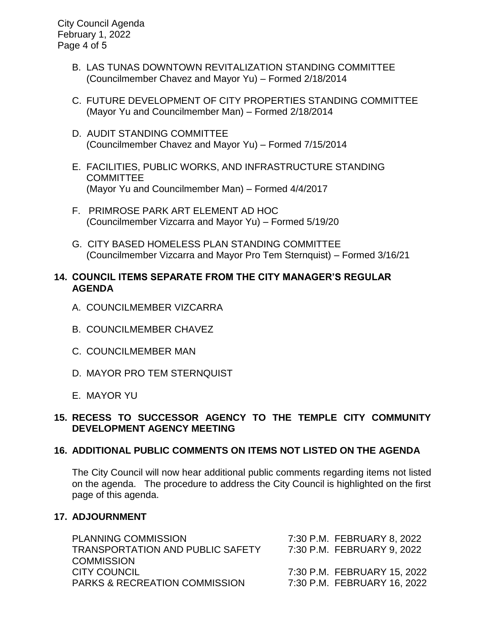City Council Agenda February 1, 2022 Page 4 of 5

- B. LAS TUNAS DOWNTOWN REVITALIZATION STANDING COMMITTEE (Councilmember Chavez and Mayor Yu) – Formed 2/18/2014
- C. FUTURE DEVELOPMENT OF CITY PROPERTIES STANDING COMMITTEE (Mayor Yu and Councilmember Man) – Formed 2/18/2014
- D. AUDIT STANDING COMMITTEE (Councilmember Chavez and Mayor Yu) – Formed 7/15/2014
- E. FACILITIES, PUBLIC WORKS, AND INFRASTRUCTURE STANDING COMMITTEE (Mayor Yu and Councilmember Man) – Formed 4/4/2017
- F. PRIMROSE PARK ART ELEMENT AD HOC (Councilmember Vizcarra and Mayor Yu) – Formed 5/19/20
- G. CITY BASED HOMELESS PLAN STANDING COMMITTEE (Councilmember Vizcarra and Mayor Pro Tem Sternquist) – Formed 3/16/21

## **14. COUNCIL ITEMS SEPARATE FROM THE CITY MANAGER'S REGULAR AGENDA**

- A. COUNCILMEMBER VIZCARRA
- B. COUNCILMEMBER CHAVEZ
- C. COUNCILMEMBER MAN
- D. MAYOR PRO TEM STERNQUIST
- E. MAYOR YU

## **15. RECESS TO SUCCESSOR AGENCY TO THE TEMPLE CITY COMMUNITY DEVELOPMENT AGENCY MEETING**

## **16. ADDITIONAL PUBLIC COMMENTS ON ITEMS NOT LISTED ON THE AGENDA**

The City Council will now hear additional public comments regarding items not listed on the agenda. The procedure to address the City Council is highlighted on the first page of this agenda.

# **17. ADJOURNMENT**

| <b>PLANNING COMMISSION</b>               | 7:30 P.M. FEBRUARY 8, 2022  |
|------------------------------------------|-----------------------------|
| <b>TRANSPORTATION AND PUBLIC SAFETY</b>  | 7:30 P.M. FEBRUARY 9, 2022  |
| <b>COMMISSION</b>                        |                             |
| CITY COUNCIL                             | 7:30 P.M. FEBRUARY 15, 2022 |
| <b>PARKS &amp; RECREATION COMMISSION</b> | 7:30 P.M. FEBRUARY 16, 2022 |